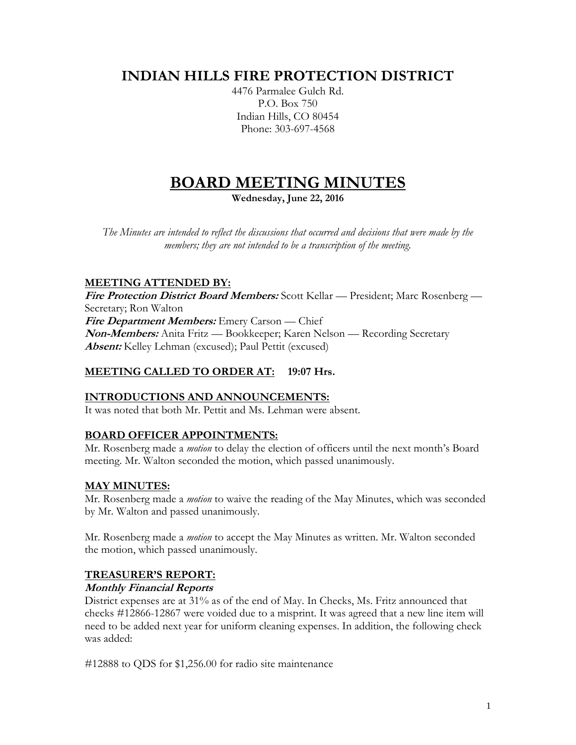# **INDIAN HILLS FIRE PROTECTION DISTRICT**

4476 Parmalee Gulch Rd. P.O. Box 750 Indian Hills, CO 80454 Phone: 303-697-4568

# **BOARD MEETING MINUTES**

**Wednesday, June 22, 2016**

*The Minutes are intended to reflect the discussions that occurred and decisions that were made by the members; they are not intended to be a transcription of the meeting.*

# **MEETING ATTENDED BY:**

**Fire Protection District Board Members:** Scott Kellar — President; Marc Rosenberg — Secretary; Ron Walton **Fire Department Members:** Emery Carson — Chief **Non-Members:** Anita Fritz — Bookkeeper; Karen Nelson — Recording Secretary **Absent:** Kelley Lehman (excused); Paul Pettit (excused)

# **MEETING CALLED TO ORDER AT: 19:07 Hrs.**

# **INTRODUCTIONS AND ANNOUNCEMENTS:**

It was noted that both Mr. Pettit and Ms. Lehman were absent.

# **BOARD OFFICER APPOINTMENTS:**

Mr. Rosenberg made a *motion* to delay the election of officers until the next month's Board meeting. Mr. Walton seconded the motion, which passed unanimously.

# **MAY MINUTES:**

Mr. Rosenberg made a *motion* to waive the reading of the May Minutes, which was seconded by Mr. Walton and passed unanimously.

Mr. Rosenberg made a *motion* to accept the May Minutes as written. Mr. Walton seconded the motion, which passed unanimously.

# **TREASURER'S REPORT:**

#### **Monthly Financial Reports**

District expenses are at 31% as of the end of May. In Checks, Ms. Fritz announced that checks #12866-12867 were voided due to a misprint. It was agreed that a new line item will need to be added next year for uniform cleaning expenses. In addition, the following check was added:

#12888 to QDS for \$1,256.00 for radio site maintenance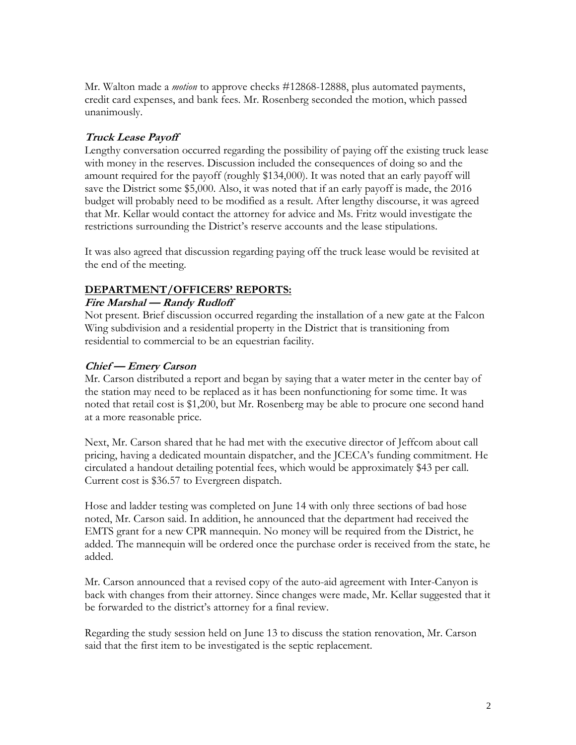Mr. Walton made a *motion* to approve checks #12868-12888, plus automated payments, credit card expenses, and bank fees. Mr. Rosenberg seconded the motion, which passed unanimously.

# **Truck Lease Payoff**

Lengthy conversation occurred regarding the possibility of paying off the existing truck lease with money in the reserves. Discussion included the consequences of doing so and the amount required for the payoff (roughly \$134,000). It was noted that an early payoff will save the District some \$5,000. Also, it was noted that if an early payoff is made, the 2016 budget will probably need to be modified as a result. After lengthy discourse, it was agreed that Mr. Kellar would contact the attorney for advice and Ms. Fritz would investigate the restrictions surrounding the District's reserve accounts and the lease stipulations.

It was also agreed that discussion regarding paying off the truck lease would be revisited at the end of the meeting.

# **DEPARTMENT/OFFICERS' REPORTS:**

# **Fire Marshal — Randy Rudloff**

Not present. Brief discussion occurred regarding the installation of a new gate at the Falcon Wing subdivision and a residential property in the District that is transitioning from residential to commercial to be an equestrian facility.

#### **Chief — Emery Carson**

Mr. Carson distributed a report and began by saying that a water meter in the center bay of the station may need to be replaced as it has been nonfunctioning for some time. It was noted that retail cost is \$1,200, but Mr. Rosenberg may be able to procure one second hand at a more reasonable price.

Next, Mr. Carson shared that he had met with the executive director of Jeffcom about call pricing, having a dedicated mountain dispatcher, and the JCECA's funding commitment. He circulated a handout detailing potential fees, which would be approximately \$43 per call. Current cost is \$36.57 to Evergreen dispatch.

Hose and ladder testing was completed on June 14 with only three sections of bad hose noted, Mr. Carson said. In addition, he announced that the department had received the EMTS grant for a new CPR mannequin. No money will be required from the District, he added. The mannequin will be ordered once the purchase order is received from the state, he added.

Mr. Carson announced that a revised copy of the auto-aid agreement with Inter-Canyon is back with changes from their attorney. Since changes were made, Mr. Kellar suggested that it be forwarded to the district's attorney for a final review.

Regarding the study session held on June 13 to discuss the station renovation, Mr. Carson said that the first item to be investigated is the septic replacement.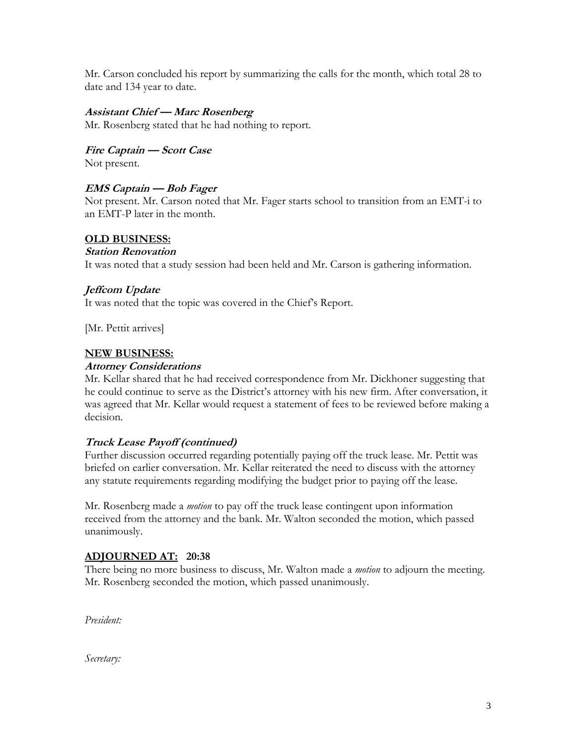Mr. Carson concluded his report by summarizing the calls for the month, which total 28 to date and 134 year to date.

#### **Assistant Chief — Marc Rosenberg**

Mr. Rosenberg stated that he had nothing to report.

**Fire Captain — Scott Case**

Not present.

#### **EMS Captain — Bob Fager**

Not present. Mr. Carson noted that Mr. Fager starts school to transition from an EMT-i to an EMT-P later in the month.

#### **OLD BUSINESS:**

#### **Station Renovation**

It was noted that a study session had been held and Mr. Carson is gathering information.

#### **Jeffcom Update**

It was noted that the topic was covered in the Chief's Report.

[Mr. Pettit arrives]

#### **NEW BUSINESS:**

#### **Attorney Considerations**

Mr. Kellar shared that he had received correspondence from Mr. Dickhoner suggesting that he could continue to serve as the District's attorney with his new firm. After conversation, it was agreed that Mr. Kellar would request a statement of fees to be reviewed before making a decision.

#### **Truck Lease Payoff (continued)**

Further discussion occurred regarding potentially paying off the truck lease. Mr. Pettit was briefed on earlier conversation. Mr. Kellar reiterated the need to discuss with the attorney any statute requirements regarding modifying the budget prior to paying off the lease.

Mr. Rosenberg made a *motion* to pay off the truck lease contingent upon information received from the attorney and the bank. Mr. Walton seconded the motion, which passed unanimously.

#### **ADJOURNED AT: 20:38**

There being no more business to discuss, Mr. Walton made a *motion* to adjourn the meeting. Mr. Rosenberg seconded the motion, which passed unanimously.

*President:*

*Secretary:*